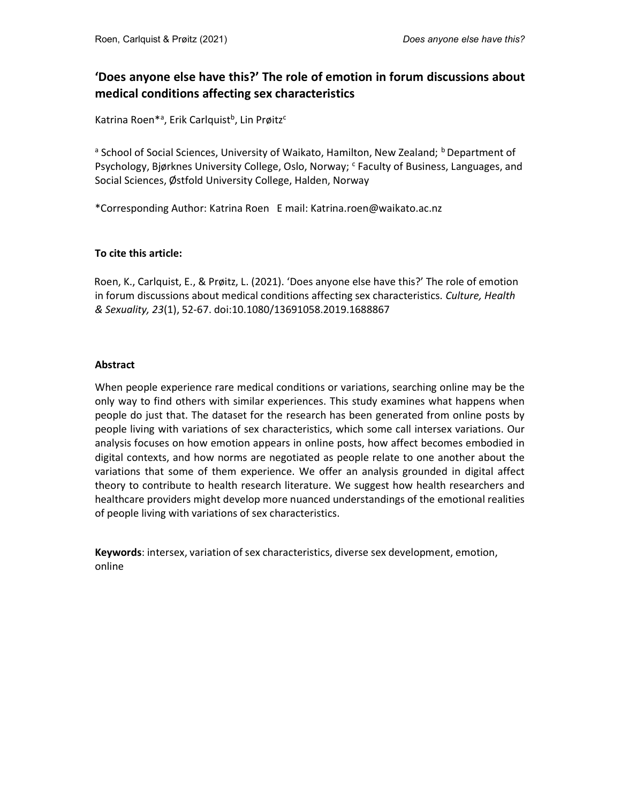# 'Does anyone else have this?' The role of emotion in forum discussions about medical conditions affecting sex characteristics

Katrina Roen<sup>\*a</sup>, Erik Carlquist<sup>b</sup>, Lin Prøitz<sup>c</sup>

<sup>a</sup> School of Social Sciences, University of Waikato, Hamilton, New Zealand; <sup>b</sup> Department of Psychology, Bjørknes University College, Oslo, Norway; <sup>c</sup> Faculty of Business, Languages, and Social Sciences, Østfold University College, Halden, Norway

\*Corresponding Author: Katrina Roen E mail: Katrina.roen@waikato.ac.nz

## To cite this article:

Roen, K., Carlquist, E., & Prøitz, L. (2021). 'Does anyone else have this?' The role of emotion in forum discussions about medical conditions affecting sex characteristics. Culture, Health & Sexuality, 23(1), 52-67. doi:10.1080/13691058.2019.1688867

### Abstract

When people experience rare medical conditions or variations, searching online may be the only way to find others with similar experiences. This study examines what happens when people do just that. The dataset for the research has been generated from online posts by people living with variations of sex characteristics, which some call intersex variations. Our analysis focuses on how emotion appears in online posts, how affect becomes embodied in digital contexts, and how norms are negotiated as people relate to one another about the variations that some of them experience. We offer an analysis grounded in digital affect theory to contribute to health research literature. We suggest how health researchers and healthcare providers might develop more nuanced understandings of the emotional realities of people living with variations of sex characteristics.

Keywords: intersex, variation of sex characteristics, diverse sex development, emotion, online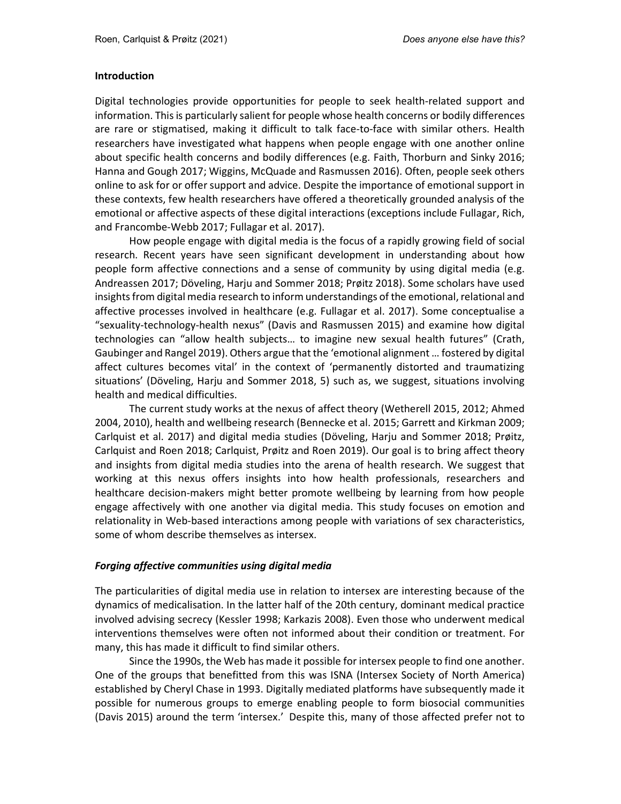### Introduction

Digital technologies provide opportunities for people to seek health-related support and information. This is particularly salient for people whose health concerns or bodily differences are rare or stigmatised, making it difficult to talk face-to-face with similar others. Health researchers have investigated what happens when people engage with one another online about specific health concerns and bodily differences (e.g. Faith, Thorburn and Sinky 2016; Hanna and Gough 2017; Wiggins, McQuade and Rasmussen 2016). Often, people seek others online to ask for or offer support and advice. Despite the importance of emotional support in these contexts, few health researchers have offered a theoretically grounded analysis of the emotional or affective aspects of these digital interactions (exceptions include Fullagar, Rich, and Francombe-Webb 2017; Fullagar et al. 2017).

How people engage with digital media is the focus of a rapidly growing field of social research. Recent years have seen significant development in understanding about how people form affective connections and a sense of community by using digital media (e.g. Andreassen 2017; Döveling, Harju and Sommer 2018; Prøitz 2018). Some scholars have used insights from digital media research to inform understandings of the emotional, relational and affective processes involved in healthcare (e.g. Fullagar et al. 2017). Some conceptualise a "sexuality-technology-health nexus" (Davis and Rasmussen 2015) and examine how digital technologies can "allow health subjects… to imagine new sexual health futures" (Crath, Gaubinger and Rangel 2019). Others argue that the 'emotional alignment … fostered by digital affect cultures becomes vital' in the context of 'permanently distorted and traumatizing situations' (Döveling, Harju and Sommer 2018, 5) such as, we suggest, situations involving health and medical difficulties.

The current study works at the nexus of affect theory (Wetherell 2015, 2012; Ahmed 2004, 2010), health and wellbeing research (Bennecke et al. 2015; Garrett and Kirkman 2009; Carlquist et al. 2017) and digital media studies (Döveling, Harju and Sommer 2018; Prøitz, Carlquist and Roen 2018; Carlquist, Prøitz and Roen 2019). Our goal is to bring affect theory and insights from digital media studies into the arena of health research. We suggest that working at this nexus offers insights into how health professionals, researchers and healthcare decision-makers might better promote wellbeing by learning from how people engage affectively with one another via digital media. This study focuses on emotion and relationality in Web-based interactions among people with variations of sex characteristics, some of whom describe themselves as intersex.

## Forging affective communities using digital media

The particularities of digital media use in relation to intersex are interesting because of the dynamics of medicalisation. In the latter half of the 20th century, dominant medical practice involved advising secrecy (Kessler 1998; Karkazis 2008). Even those who underwent medical interventions themselves were often not informed about their condition or treatment. For many, this has made it difficult to find similar others.

Since the 1990s, the Web has made it possible for intersex people to find one another. One of the groups that benefitted from this was ISNA (Intersex Society of North America) established by Cheryl Chase in 1993. Digitally mediated platforms have subsequently made it possible for numerous groups to emerge enabling people to form biosocial communities (Davis 2015) around the term 'intersex.' Despite this, many of those affected prefer not to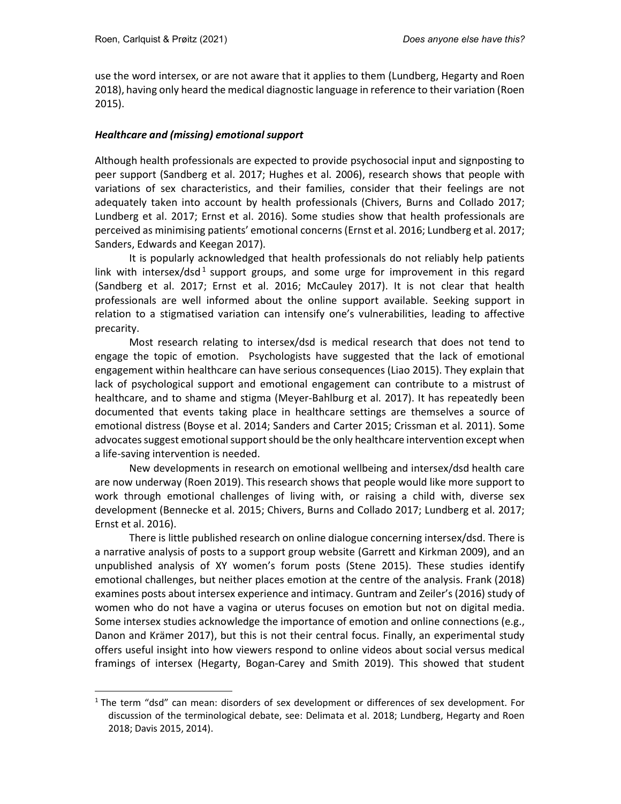-

use the word intersex, or are not aware that it applies to them (Lundberg, Hegarty and Roen 2018), having only heard the medical diagnostic language in reference to their variation (Roen 2015).

## Healthcare and (missing) emotional support

Although health professionals are expected to provide psychosocial input and signposting to peer support (Sandberg et al. 2017; Hughes et al. 2006), research shows that people with variations of sex characteristics, and their families, consider that their feelings are not adequately taken into account by health professionals (Chivers, Burns and Collado 2017; Lundberg et al. 2017; Ernst et al. 2016). Some studies show that health professionals are perceived as minimising patients' emotional concerns (Ernst et al. 2016; Lundberg et al. 2017; Sanders, Edwards and Keegan 2017).

It is popularly acknowledged that health professionals do not reliably help patients link with intersex/dsd<sup>1</sup> support groups, and some urge for improvement in this regard (Sandberg et al. 2017; Ernst et al. 2016; McCauley 2017). It is not clear that health professionals are well informed about the online support available. Seeking support in relation to a stigmatised variation can intensify one's vulnerabilities, leading to affective precarity.

Most research relating to intersex/dsd is medical research that does not tend to engage the topic of emotion. Psychologists have suggested that the lack of emotional engagement within healthcare can have serious consequences (Liao 2015). They explain that lack of psychological support and emotional engagement can contribute to a mistrust of healthcare, and to shame and stigma (Meyer-Bahlburg et al. 2017). It has repeatedly been documented that events taking place in healthcare settings are themselves a source of emotional distress (Boyse et al. 2014; Sanders and Carter 2015; Crissman et al. 2011). Some advocates suggest emotional support should be the only healthcare intervention except when a life-saving intervention is needed.

New developments in research on emotional wellbeing and intersex/dsd health care are now underway (Roen 2019). This research shows that people would like more support to work through emotional challenges of living with, or raising a child with, diverse sex development (Bennecke et al. 2015; Chivers, Burns and Collado 2017; Lundberg et al. 2017; Ernst et al. 2016).

 There is little published research on online dialogue concerning intersex/dsd. There is a narrative analysis of posts to a support group website (Garrett and Kirkman 2009), and an unpublished analysis of XY women's forum posts (Stene 2015). These studies identify emotional challenges, but neither places emotion at the centre of the analysis. Frank (2018) examines posts about intersex experience and intimacy. Guntram and Zeiler's (2016) study of women who do not have a vagina or uterus focuses on emotion but not on digital media. Some intersex studies acknowledge the importance of emotion and online connections (e.g., Danon and Krämer 2017), but this is not their central focus. Finally, an experimental study offers useful insight into how viewers respond to online videos about social versus medical framings of intersex (Hegarty, Bogan-Carey and Smith 2019). This showed that student

<sup>&</sup>lt;sup>1</sup> The term "dsd" can mean: disorders of sex development or differences of sex development. For discussion of the terminological debate, see: Delimata et al. 2018; Lundberg, Hegarty and Roen 2018; Davis 2015, 2014).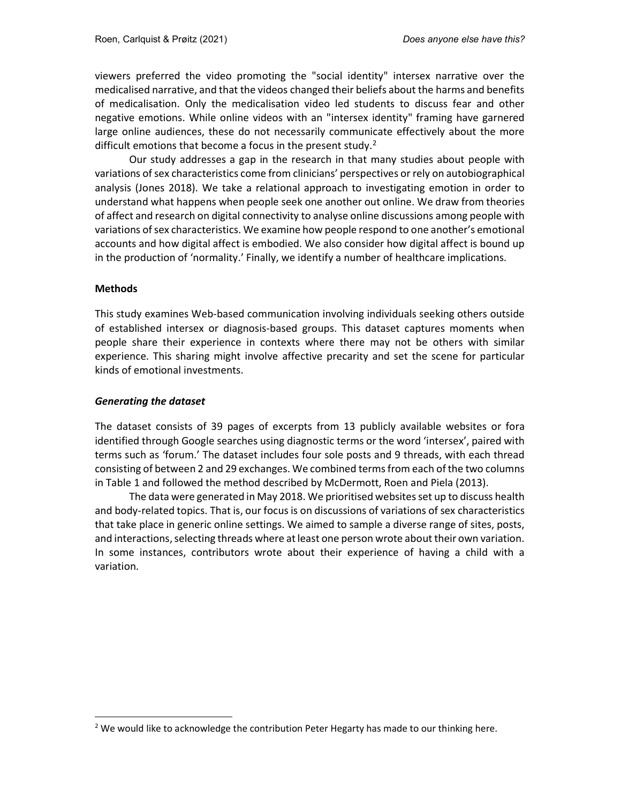viewers preferred the video promoting the "social identity" intersex narrative over the medicalised narrative, and that the videos changed their beliefs about the harms and benefits of medicalisation. Only the medicalisation video led students to discuss fear and other negative emotions. While online videos with an "intersex identity" framing have garnered large online audiences, these do not necessarily communicate effectively about the more difficult emotions that become a focus in the present study. $2$ 

Our study addresses a gap in the research in that many studies about people with variations of sex characteristics come from clinicians' perspectives or rely on autobiographical analysis (Jones 2018). We take a relational approach to investigating emotion in order to understand what happens when people seek one another out online. We draw from theories of affect and research on digital connectivity to analyse online discussions among people with variations of sex characteristics. We examine how people respond to one another's emotional accounts and how digital affect is embodied. We also consider how digital affect is bound up in the production of 'normality.' Finally, we identify a number of healthcare implications.

#### Methods

-

This study examines Web-based communication involving individuals seeking others outside of established intersex or diagnosis-based groups. This dataset captures moments when people share their experience in contexts where there may not be others with similar experience. This sharing might involve affective precarity and set the scene for particular kinds of emotional investments.

### Generating the dataset

The dataset consists of 39 pages of excerpts from 13 publicly available websites or fora identified through Google searches using diagnostic terms or the word 'intersex', paired with terms such as 'forum.' The dataset includes four sole posts and 9 threads, with each thread consisting of between 2 and 29 exchanges. We combined terms from each of the two columns in Table 1 and followed the method described by McDermott, Roen and Piela (2013).

The data were generated in May 2018. We prioritised websites set up to discuss health and body-related topics. That is, our focus is on discussions of variations of sex characteristics that take place in generic online settings. We aimed to sample a diverse range of sites, posts, and interactions, selecting threads where at least one person wrote about their own variation. In some instances, contributors wrote about their experience of having a child with a variation.

 $2$  We would like to acknowledge the contribution Peter Hegarty has made to our thinking here.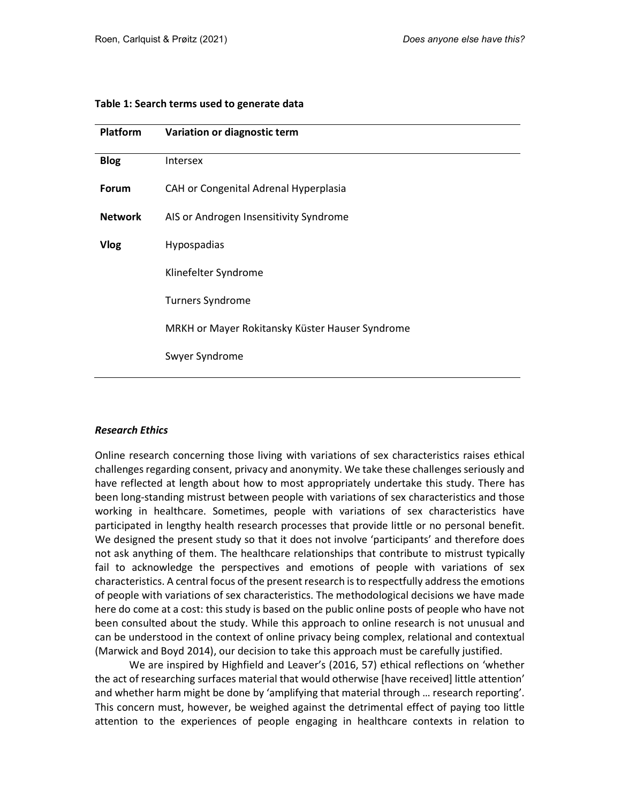| Table 1: Search terms used to generate data |  |  |  |  |  |  |  |
|---------------------------------------------|--|--|--|--|--|--|--|
|---------------------------------------------|--|--|--|--|--|--|--|

| <b>Platform</b> | Variation or diagnostic term                    |  |  |  |  |
|-----------------|-------------------------------------------------|--|--|--|--|
| <b>Blog</b>     | <b>Intersex</b>                                 |  |  |  |  |
| Forum           | CAH or Congenital Adrenal Hyperplasia           |  |  |  |  |
| <b>Network</b>  | AIS or Androgen Insensitivity Syndrome          |  |  |  |  |
| <b>Vlog</b>     | Hypospadias                                     |  |  |  |  |
|                 | Klinefelter Syndrome                            |  |  |  |  |
|                 | <b>Turners Syndrome</b>                         |  |  |  |  |
|                 | MRKH or Mayer Rokitansky Küster Hauser Syndrome |  |  |  |  |
|                 | Swyer Syndrome                                  |  |  |  |  |
|                 |                                                 |  |  |  |  |

#### Research Ethics

Online research concerning those living with variations of sex characteristics raises ethical challenges regarding consent, privacy and anonymity. We take these challenges seriously and have reflected at length about how to most appropriately undertake this study. There has been long-standing mistrust between people with variations of sex characteristics and those working in healthcare. Sometimes, people with variations of sex characteristics have participated in lengthy health research processes that provide little or no personal benefit. We designed the present study so that it does not involve 'participants' and therefore does not ask anything of them. The healthcare relationships that contribute to mistrust typically fail to acknowledge the perspectives and emotions of people with variations of sex characteristics. A central focus of the present research is to respectfully address the emotions of people with variations of sex characteristics. The methodological decisions we have made here do come at a cost: this study is based on the public online posts of people who have not been consulted about the study. While this approach to online research is not unusual and can be understood in the context of online privacy being complex, relational and contextual (Marwick and Boyd 2014), our decision to take this approach must be carefully justified.

We are inspired by Highfield and Leaver's (2016, 57) ethical reflections on 'whether the act of researching surfaces material that would otherwise [have received] little attention' and whether harm might be done by 'amplifying that material through … research reporting'. This concern must, however, be weighed against the detrimental effect of paying too little attention to the experiences of people engaging in healthcare contexts in relation to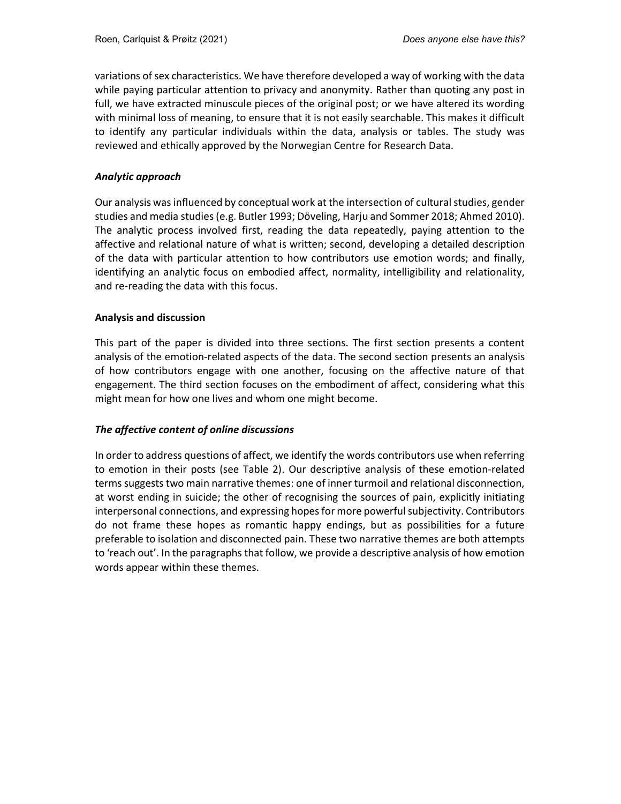variations of sex characteristics. We have therefore developed a way of working with the data while paying particular attention to privacy and anonymity. Rather than quoting any post in full, we have extracted minuscule pieces of the original post; or we have altered its wording with minimal loss of meaning, to ensure that it is not easily searchable. This makes it difficult to identify any particular individuals within the data, analysis or tables. The study was reviewed and ethically approved by the Norwegian Centre for Research Data.

### Analytic approach

Our analysis was influenced by conceptual work at the intersection of cultural studies, gender studies and media studies (e.g. Butler 1993; Döveling, Harju and Sommer 2018; Ahmed 2010). The analytic process involved first, reading the data repeatedly, paying attention to the affective and relational nature of what is written; second, developing a detailed description of the data with particular attention to how contributors use emotion words; and finally, identifying an analytic focus on embodied affect, normality, intelligibility and relationality, and re-reading the data with this focus.

### Analysis and discussion

This part of the paper is divided into three sections. The first section presents a content analysis of the emotion-related aspects of the data. The second section presents an analysis of how contributors engage with one another, focusing on the affective nature of that engagement. The third section focuses on the embodiment of affect, considering what this might mean for how one lives and whom one might become.

## The affective content of online discussions

In order to address questions of affect, we identify the words contributors use when referring to emotion in their posts (see Table 2). Our descriptive analysis of these emotion-related terms suggests two main narrative themes: one of inner turmoil and relational disconnection, at worst ending in suicide; the other of recognising the sources of pain, explicitly initiating interpersonal connections, and expressing hopes for more powerful subjectivity. Contributors do not frame these hopes as romantic happy endings, but as possibilities for a future preferable to isolation and disconnected pain. These two narrative themes are both attempts to 'reach out'. In the paragraphs that follow, we provide a descriptive analysis of how emotion words appear within these themes.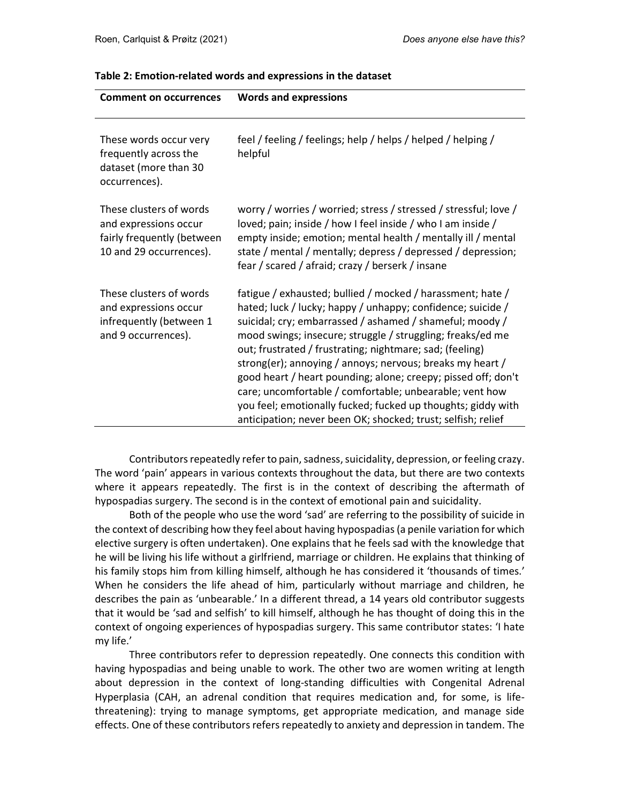| <b>Comment on occurrences</b>                                                                             | <b>Words and expressions</b>                                                                                                                                                                                                                                                                                                                                                                                                                                                                                                                                                                                                             |
|-----------------------------------------------------------------------------------------------------------|------------------------------------------------------------------------------------------------------------------------------------------------------------------------------------------------------------------------------------------------------------------------------------------------------------------------------------------------------------------------------------------------------------------------------------------------------------------------------------------------------------------------------------------------------------------------------------------------------------------------------------------|
| These words occur very<br>frequently across the<br>dataset (more than 30<br>occurrences).                 | feel / feeling / feelings; help / helps / helped / helping /<br>helpful                                                                                                                                                                                                                                                                                                                                                                                                                                                                                                                                                                  |
| These clusters of words<br>and expressions occur<br>fairly frequently (between<br>10 and 29 occurrences). | worry / worries / worried; stress / stressed / stressful; love /<br>loved; pain; inside / how I feel inside / who I am inside /<br>empty inside; emotion; mental health / mentally ill / mental<br>state / mental / mentally; depress / depressed / depression;<br>fear / scared / afraid; crazy / berserk / insane                                                                                                                                                                                                                                                                                                                      |
| These clusters of words<br>and expressions occur<br>infrequently (between 1<br>and 9 occurrences).        | fatigue / exhausted; bullied / mocked / harassment; hate /<br>hated; luck / lucky; happy / unhappy; confidence; suicide /<br>suicidal; cry; embarrassed / ashamed / shameful; moody /<br>mood swings; insecure; struggle / struggling; freaks/ed me<br>out; frustrated / frustrating; nightmare; sad; (feeling)<br>strong(er); annoying / annoys; nervous; breaks my heart /<br>good heart / heart pounding; alone; creepy; pissed off; don't<br>care; uncomfortable / comfortable; unbearable; vent how<br>you feel; emotionally fucked; fucked up thoughts; giddy with<br>anticipation; never been OK; shocked; trust; selfish; relief |

#### Table 2: Emotion-related words and expressions in the dataset

Contributors repeatedly refer to pain, sadness, suicidality, depression, or feeling crazy. The word 'pain' appears in various contexts throughout the data, but there are two contexts where it appears repeatedly. The first is in the context of describing the aftermath of hypospadias surgery. The second is in the context of emotional pain and suicidality.

Both of the people who use the word 'sad' are referring to the possibility of suicide in the context of describing how they feel about having hypospadias (a penile variation for which elective surgery is often undertaken). One explains that he feels sad with the knowledge that he will be living his life without a girlfriend, marriage or children. He explains that thinking of his family stops him from killing himself, although he has considered it 'thousands of times.' When he considers the life ahead of him, particularly without marriage and children, he describes the pain as 'unbearable.' In a different thread, a 14 years old contributor suggests that it would be 'sad and selfish' to kill himself, although he has thought of doing this in the context of ongoing experiences of hypospadias surgery. This same contributor states: 'I hate my life.'

Three contributors refer to depression repeatedly. One connects this condition with having hypospadias and being unable to work. The other two are women writing at length about depression in the context of long-standing difficulties with Congenital Adrenal Hyperplasia (CAH, an adrenal condition that requires medication and, for some, is lifethreatening): trying to manage symptoms, get appropriate medication, and manage side effects. One of these contributors refers repeatedly to anxiety and depression in tandem. The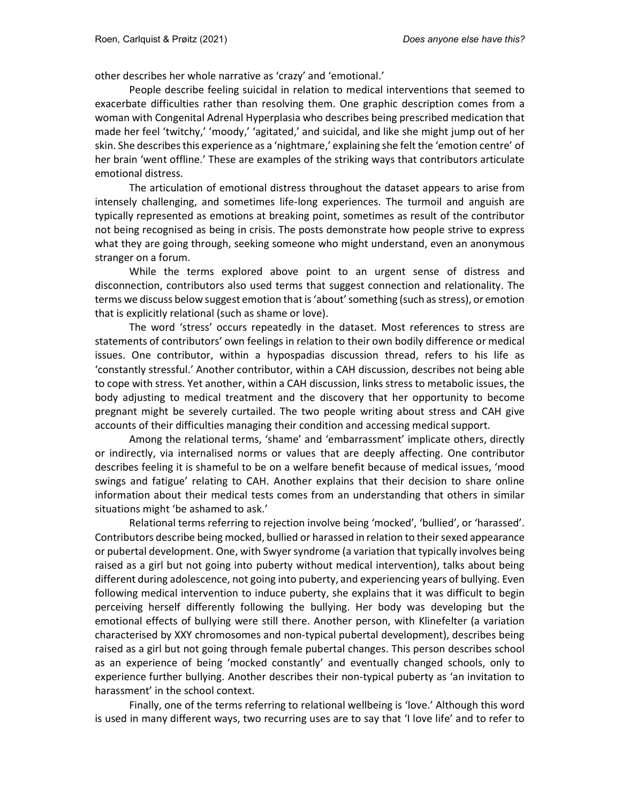other describes her whole narrative as 'crazy' and 'emotional.'

People describe feeling suicidal in relation to medical interventions that seemed to exacerbate difficulties rather than resolving them. One graphic description comes from a woman with Congenital Adrenal Hyperplasia who describes being prescribed medication that made her feel 'twitchy,' 'moody,' 'agitated,' and suicidal, and like she might jump out of her skin. She describes this experience as a 'nightmare,' explaining she felt the 'emotion centre' of her brain 'went offline.' These are examples of the striking ways that contributors articulate emotional distress.

The articulation of emotional distress throughout the dataset appears to arise from intensely challenging, and sometimes life-long experiences. The turmoil and anguish are typically represented as emotions at breaking point, sometimes as result of the contributor not being recognised as being in crisis. The posts demonstrate how people strive to express what they are going through, seeking someone who might understand, even an anonymous stranger on a forum.

While the terms explored above point to an urgent sense of distress and disconnection, contributors also used terms that suggest connection and relationality. The terms we discuss below suggest emotion that is 'about' something (such as stress), or emotion that is explicitly relational (such as shame or love).

The word 'stress' occurs repeatedly in the dataset. Most references to stress are statements of contributors' own feelings in relation to their own bodily difference or medical issues. One contributor, within a hypospadias discussion thread, refers to his life as 'constantly stressful.' Another contributor, within a CAH discussion, describes not being able to cope with stress. Yet another, within a CAH discussion, links stress to metabolic issues, the body adjusting to medical treatment and the discovery that her opportunity to become pregnant might be severely curtailed. The two people writing about stress and CAH give accounts of their difficulties managing their condition and accessing medical support.

Among the relational terms, 'shame' and 'embarrassment' implicate others, directly or indirectly, via internalised norms or values that are deeply affecting. One contributor describes feeling it is shameful to be on a welfare benefit because of medical issues, 'mood swings and fatigue' relating to CAH. Another explains that their decision to share online information about their medical tests comes from an understanding that others in similar situations might 'be ashamed to ask.'

Relational terms referring to rejection involve being 'mocked', 'bullied', or 'harassed'. Contributors describe being mocked, bullied or harassed in relation to their sexed appearance or pubertal development. One, with Swyer syndrome (a variation that typically involves being raised as a girl but not going into puberty without medical intervention), talks about being different during adolescence, not going into puberty, and experiencing years of bullying. Even following medical intervention to induce puberty, she explains that it was difficult to begin perceiving herself differently following the bullying. Her body was developing but the emotional effects of bullying were still there. Another person, with Klinefelter (a variation characterised by XXY chromosomes and non-typical pubertal development), describes being raised as a girl but not going through female pubertal changes. This person describes school as an experience of being 'mocked constantly' and eventually changed schools, only to experience further bullying. Another describes their non-typical puberty as 'an invitation to harassment' in the school context.

Finally, one of the terms referring to relational wellbeing is 'love.' Although this word is used in many different ways, two recurring uses are to say that 'I love life' and to refer to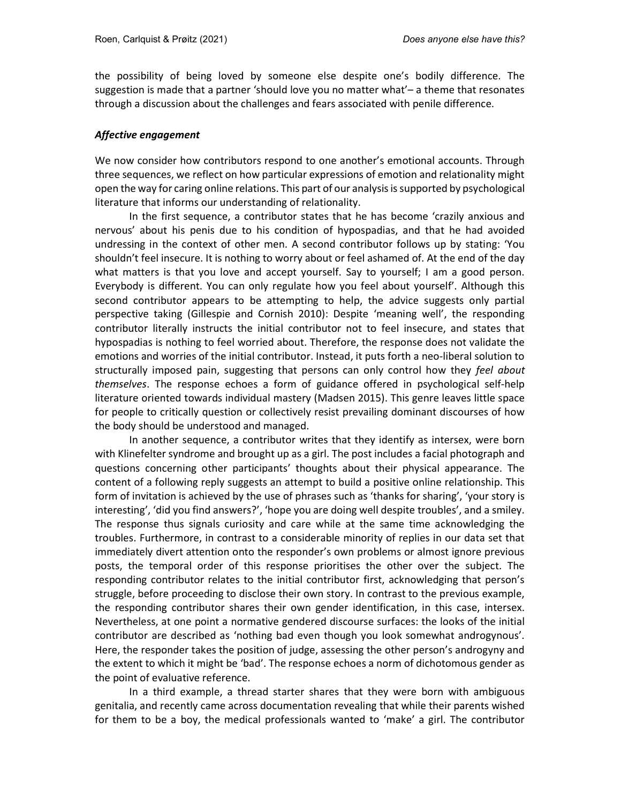the possibility of being loved by someone else despite one's bodily difference. The suggestion is made that a partner 'should love you no matter what'– a theme that resonates through a discussion about the challenges and fears associated with penile difference.

#### Affective engagement

We now consider how contributors respond to one another's emotional accounts. Through three sequences, we reflect on how particular expressions of emotion and relationality might open the way for caring online relations. This part of our analysis is supported by psychological literature that informs our understanding of relationality.

In the first sequence, a contributor states that he has become 'crazily anxious and nervous' about his penis due to his condition of hypospadias, and that he had avoided undressing in the context of other men. A second contributor follows up by stating: 'You shouldn't feel insecure. It is nothing to worry about or feel ashamed of. At the end of the day what matters is that you love and accept yourself. Say to yourself; I am a good person. Everybody is different. You can only regulate how you feel about yourself'. Although this second contributor appears to be attempting to help, the advice suggests only partial perspective taking (Gillespie and Cornish 2010): Despite 'meaning well', the responding contributor literally instructs the initial contributor not to feel insecure, and states that hypospadias is nothing to feel worried about. Therefore, the response does not validate the emotions and worries of the initial contributor. Instead, it puts forth a neo-liberal solution to structurally imposed pain, suggesting that persons can only control how they feel about themselves. The response echoes a form of guidance offered in psychological self-help literature oriented towards individual mastery (Madsen 2015). This genre leaves little space for people to critically question or collectively resist prevailing dominant discourses of how the body should be understood and managed.

In another sequence, a contributor writes that they identify as intersex, were born with Klinefelter syndrome and brought up as a girl. The post includes a facial photograph and questions concerning other participants' thoughts about their physical appearance. The content of a following reply suggests an attempt to build a positive online relationship. This form of invitation is achieved by the use of phrases such as 'thanks for sharing', 'your story is interesting', 'did you find answers?', 'hope you are doing well despite troubles', and a smiley. The response thus signals curiosity and care while at the same time acknowledging the troubles. Furthermore, in contrast to a considerable minority of replies in our data set that immediately divert attention onto the responder's own problems or almost ignore previous posts, the temporal order of this response prioritises the other over the subject. The responding contributor relates to the initial contributor first, acknowledging that person's struggle, before proceeding to disclose their own story. In contrast to the previous example, the responding contributor shares their own gender identification, in this case, intersex. Nevertheless, at one point a normative gendered discourse surfaces: the looks of the initial contributor are described as 'nothing bad even though you look somewhat androgynous'. Here, the responder takes the position of judge, assessing the other person's androgyny and the extent to which it might be 'bad'. The response echoes a norm of dichotomous gender as the point of evaluative reference.

In a third example, a thread starter shares that they were born with ambiguous genitalia, and recently came across documentation revealing that while their parents wished for them to be a boy, the medical professionals wanted to 'make' a girl. The contributor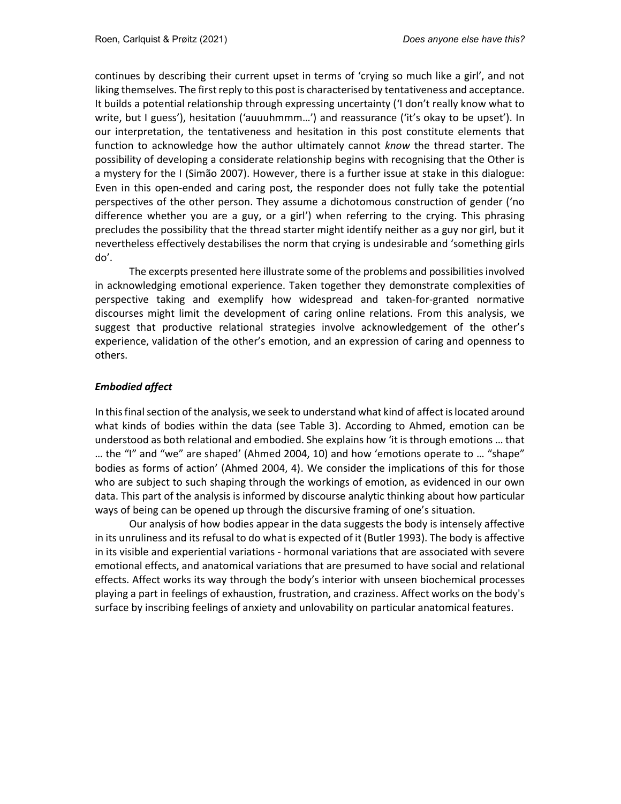continues by describing their current upset in terms of 'crying so much like a girl', and not liking themselves. The first reply to this post is characterised by tentativeness and acceptance. It builds a potential relationship through expressing uncertainty ('I don't really know what to write, but I guess'), hesitation ('auuuhmmm…') and reassurance ('it's okay to be upset'). In our interpretation, the tentativeness and hesitation in this post constitute elements that function to acknowledge how the author ultimately cannot know the thread starter. The possibility of developing a considerate relationship begins with recognising that the Other is a mystery for the I (Simão 2007). However, there is a further issue at stake in this dialogue: Even in this open-ended and caring post, the responder does not fully take the potential perspectives of the other person. They assume a dichotomous construction of gender ('no difference whether you are a guy, or a girl') when referring to the crying. This phrasing precludes the possibility that the thread starter might identify neither as a guy nor girl, but it nevertheless effectively destabilises the norm that crying is undesirable and 'something girls do'.

The excerpts presented here illustrate some of the problems and possibilities involved in acknowledging emotional experience. Taken together they demonstrate complexities of perspective taking and exemplify how widespread and taken-for-granted normative discourses might limit the development of caring online relations. From this analysis, we suggest that productive relational strategies involve acknowledgement of the other's experience, validation of the other's emotion, and an expression of caring and openness to others.

## Embodied affect

In this final section of the analysis, we seek to understand what kind of affect is located around what kinds of bodies within the data (see Table 3). According to Ahmed, emotion can be understood as both relational and embodied. She explains how 'it is through emotions … that … the "I" and "we" are shaped' (Ahmed 2004, 10) and how 'emotions operate to … "shape" bodies as forms of action' (Ahmed 2004, 4). We consider the implications of this for those who are subject to such shaping through the workings of emotion, as evidenced in our own data. This part of the analysis is informed by discourse analytic thinking about how particular ways of being can be opened up through the discursive framing of one's situation.

Our analysis of how bodies appear in the data suggests the body is intensely affective in its unruliness and its refusal to do what is expected of it (Butler 1993). The body is affective in its visible and experiential variations - hormonal variations that are associated with severe emotional effects, and anatomical variations that are presumed to have social and relational effects. Affect works its way through the body's interior with unseen biochemical processes playing a part in feelings of exhaustion, frustration, and craziness. Affect works on the body's surface by inscribing feelings of anxiety and unlovability on particular anatomical features.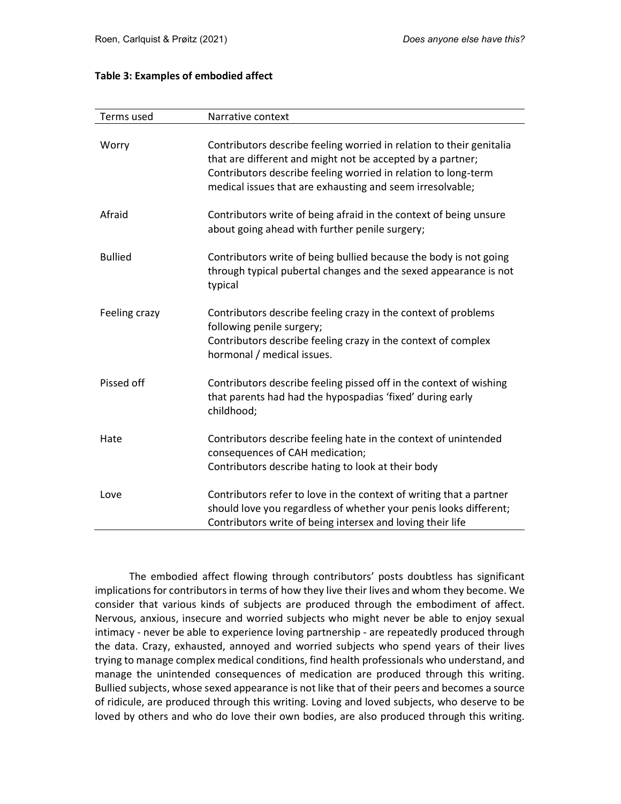### Table 3: Examples of embodied affect

| Terms used     | Narrative context                                                                                                                                                                                                                                                 |
|----------------|-------------------------------------------------------------------------------------------------------------------------------------------------------------------------------------------------------------------------------------------------------------------|
| Worry          | Contributors describe feeling worried in relation to their genitalia<br>that are different and might not be accepted by a partner;<br>Contributors describe feeling worried in relation to long-term<br>medical issues that are exhausting and seem irresolvable; |
| Afraid         | Contributors write of being afraid in the context of being unsure<br>about going ahead with further penile surgery;                                                                                                                                               |
| <b>Bullied</b> | Contributors write of being bullied because the body is not going<br>through typical pubertal changes and the sexed appearance is not<br>typical                                                                                                                  |
| Feeling crazy  | Contributors describe feeling crazy in the context of problems<br>following penile surgery;<br>Contributors describe feeling crazy in the context of complex<br>hormonal / medical issues.                                                                        |
| Pissed off     | Contributors describe feeling pissed off in the context of wishing<br>that parents had had the hypospadias 'fixed' during early<br>childhood;                                                                                                                     |
| Hate           | Contributors describe feeling hate in the context of unintended<br>consequences of CAH medication;<br>Contributors describe hating to look at their body                                                                                                          |
| Love           | Contributors refer to love in the context of writing that a partner<br>should love you regardless of whether your penis looks different;<br>Contributors write of being intersex and loving their life                                                            |

The embodied affect flowing through contributors' posts doubtless has significant implications for contributors in terms of how they live their lives and whom they become. We consider that various kinds of subjects are produced through the embodiment of affect. Nervous, anxious, insecure and worried subjects who might never be able to enjoy sexual intimacy - never be able to experience loving partnership - are repeatedly produced through the data. Crazy, exhausted, annoyed and worried subjects who spend years of their lives trying to manage complex medical conditions, find health professionals who understand, and manage the unintended consequences of medication are produced through this writing. Bullied subjects, whose sexed appearance is not like that of their peers and becomes a source of ridicule, are produced through this writing. Loving and loved subjects, who deserve to be loved by others and who do love their own bodies, are also produced through this writing.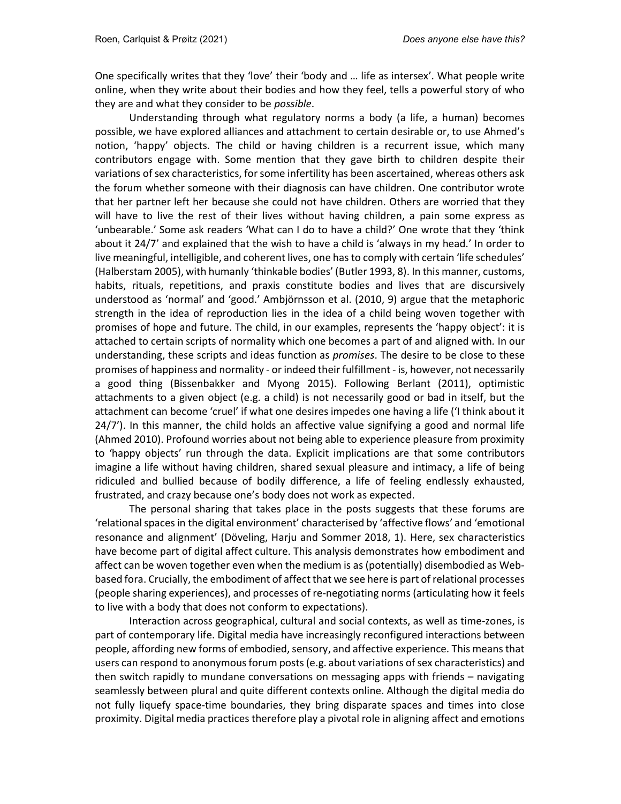One specifically writes that they 'love' their 'body and … life as intersex'. What people write online, when they write about their bodies and how they feel, tells a powerful story of who they are and what they consider to be possible.

Understanding through what regulatory norms a body (a life, a human) becomes possible, we have explored alliances and attachment to certain desirable or, to use Ahmed's notion, 'happy' objects. The child or having children is a recurrent issue, which many contributors engage with. Some mention that they gave birth to children despite their variations of sex characteristics, for some infertility has been ascertained, whereas others ask the forum whether someone with their diagnosis can have children. One contributor wrote that her partner left her because she could not have children. Others are worried that they will have to live the rest of their lives without having children, a pain some express as 'unbearable.' Some ask readers 'What can I do to have a child?' One wrote that they 'think about it 24/7' and explained that the wish to have a child is 'always in my head.' In order to live meaningful, intelligible, and coherent lives, one has to comply with certain 'life schedules' (Halberstam 2005), with humanly 'thinkable bodies' (Butler 1993, 8). In this manner, customs, habits, rituals, repetitions, and praxis constitute bodies and lives that are discursively understood as 'normal' and 'good.' Ambjörnsson et al. (2010, 9) argue that the metaphoric strength in the idea of reproduction lies in the idea of a child being woven together with promises of hope and future. The child, in our examples, represents the 'happy object': it is attached to certain scripts of normality which one becomes a part of and aligned with. In our understanding, these scripts and ideas function as *promises*. The desire to be close to these promises of happiness and normality - or indeed their fulfillment - is, however, not necessarily a good thing (Bissenbakker and Myong 2015). Following Berlant (2011), optimistic attachments to a given object (e.g. a child) is not necessarily good or bad in itself, but the attachment can become 'cruel' if what one desires impedes one having a life ('I think about it 24/7'). In this manner, the child holds an affective value signifying a good and normal life (Ahmed 2010). Profound worries about not being able to experience pleasure from proximity to 'happy objects' run through the data. Explicit implications are that some contributors imagine a life without having children, shared sexual pleasure and intimacy, a life of being ridiculed and bullied because of bodily difference, a life of feeling endlessly exhausted, frustrated, and crazy because one's body does not work as expected.

The personal sharing that takes place in the posts suggests that these forums are 'relational spaces in the digital environment' characterised by 'affective flows' and 'emotional resonance and alignment' (Döveling, Harju and Sommer 2018, 1). Here, sex characteristics have become part of digital affect culture. This analysis demonstrates how embodiment and affect can be woven together even when the medium is as (potentially) disembodied as Webbased fora. Crucially, the embodiment of affect that we see here is part of relational processes (people sharing experiences), and processes of re-negotiating norms (articulating how it feels to live with a body that does not conform to expectations).

Interaction across geographical, cultural and social contexts, as well as time-zones, is part of contemporary life. Digital media have increasingly reconfigured interactions between people, affording new forms of embodied, sensory, and affective experience. This means that users can respond to anonymous forum posts (e.g. about variations of sex characteristics) and then switch rapidly to mundane conversations on messaging apps with friends – navigating seamlessly between plural and quite different contexts online. Although the digital media do not fully liquefy space-time boundaries, they bring disparate spaces and times into close proximity. Digital media practices therefore play a pivotal role in aligning affect and emotions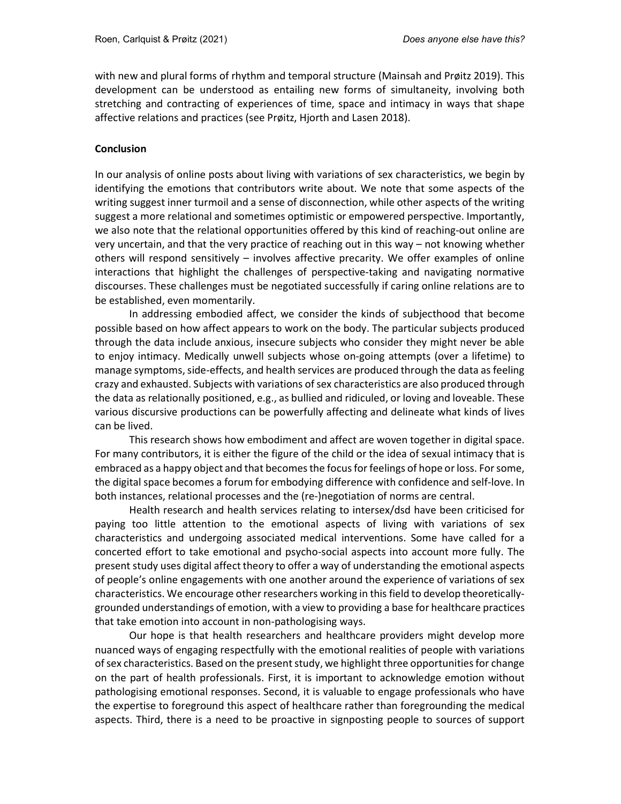with new and plural forms of rhythm and temporal structure (Mainsah and Prøitz 2019). This development can be understood as entailing new forms of simultaneity, involving both stretching and contracting of experiences of time, space and intimacy in ways that shape affective relations and practices (see Prøitz, Hjorth and Lasen 2018).

## **Conclusion**

In our analysis of online posts about living with variations of sex characteristics, we begin by identifying the emotions that contributors write about. We note that some aspects of the writing suggest inner turmoil and a sense of disconnection, while other aspects of the writing suggest a more relational and sometimes optimistic or empowered perspective. Importantly, we also note that the relational opportunities offered by this kind of reaching-out online are very uncertain, and that the very practice of reaching out in this way – not knowing whether others will respond sensitively – involves affective precarity. We offer examples of online interactions that highlight the challenges of perspective-taking and navigating normative discourses. These challenges must be negotiated successfully if caring online relations are to be established, even momentarily.

In addressing embodied affect, we consider the kinds of subjecthood that become possible based on how affect appears to work on the body. The particular subjects produced through the data include anxious, insecure subjects who consider they might never be able to enjoy intimacy. Medically unwell subjects whose on-going attempts (over a lifetime) to manage symptoms, side-effects, and health services are produced through the data as feeling crazy and exhausted. Subjects with variations of sex characteristics are also produced through the data as relationally positioned, e.g., as bullied and ridiculed, or loving and loveable. These various discursive productions can be powerfully affecting and delineate what kinds of lives can be lived.

This research shows how embodiment and affect are woven together in digital space. For many contributors, it is either the figure of the child or the idea of sexual intimacy that is embraced as a happy object and that becomes the focus for feelings of hope or loss. For some, the digital space becomes a forum for embodying difference with confidence and self-love. In both instances, relational processes and the (re-)negotiation of norms are central.

Health research and health services relating to intersex/dsd have been criticised for paying too little attention to the emotional aspects of living with variations of sex characteristics and undergoing associated medical interventions. Some have called for a concerted effort to take emotional and psycho-social aspects into account more fully. The present study uses digital affect theory to offer a way of understanding the emotional aspects of people's online engagements with one another around the experience of variations of sex characteristics. We encourage other researchers working in this field to develop theoreticallygrounded understandings of emotion, with a view to providing a base for healthcare practices that take emotion into account in non-pathologising ways.

Our hope is that health researchers and healthcare providers might develop more nuanced ways of engaging respectfully with the emotional realities of people with variations of sex characteristics. Based on the present study, we highlight three opportunities for change on the part of health professionals. First, it is important to acknowledge emotion without pathologising emotional responses. Second, it is valuable to engage professionals who have the expertise to foreground this aspect of healthcare rather than foregrounding the medical aspects. Third, there is a need to be proactive in signposting people to sources of support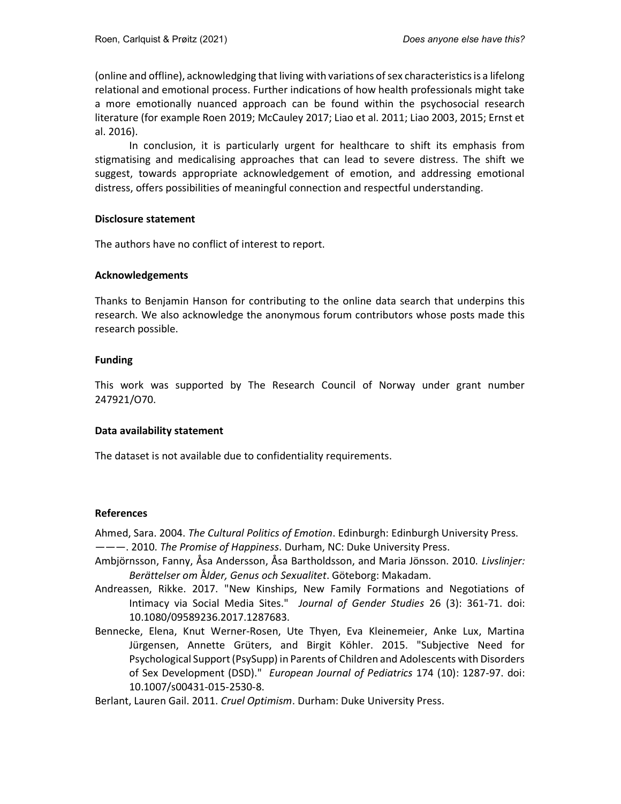(online and offline), acknowledging that living with variations of sex characteristics is a lifelong relational and emotional process. Further indications of how health professionals might take a more emotionally nuanced approach can be found within the psychosocial research literature (for example Roen 2019; McCauley 2017; Liao et al. 2011; Liao 2003, 2015; Ernst et al. 2016).

In conclusion, it is particularly urgent for healthcare to shift its emphasis from stigmatising and medicalising approaches that can lead to severe distress. The shift we suggest, towards appropriate acknowledgement of emotion, and addressing emotional distress, offers possibilities of meaningful connection and respectful understanding.

### Disclosure statement

The authors have no conflict of interest to report.

### Acknowledgements

Thanks to Benjamin Hanson for contributing to the online data search that underpins this research. We also acknowledge the anonymous forum contributors whose posts made this research possible.

## Funding

This work was supported by The Research Council of Norway under grant number 247921/O70.

## Data availability statement

The dataset is not available due to confidentiality requirements.

#### References

Ahmed, Sara. 2004. The Cultural Politics of Emotion. Edinburgh: Edinburgh University Press. ———. 2010. The Promise of Happiness. Durham, NC: Duke University Press.

- Ambjörnsson, Fanny, Åsa Andersson, Åsa Bartholdsson, and Maria Jönsson. 2010. Livslinjer: Berättelser om Ålder, Genus och Sexualitet. Göteborg: Makadam.
- Andreassen, Rikke. 2017. "New Kinships, New Family Formations and Negotiations of Intimacy via Social Media Sites." Journal of Gender Studies 26 (3): 361-71. doi: 10.1080/09589236.2017.1287683.
- Bennecke, Elena, Knut Werner-Rosen, Ute Thyen, Eva Kleinemeier, Anke Lux, Martina Jürgensen, Annette Grüters, and Birgit Köhler. 2015. "Subjective Need for Psychological Support (PsySupp) in Parents of Children and Adolescents with Disorders of Sex Development (DSD)." European Journal of Pediatrics 174 (10): 1287-97. doi: 10.1007/s00431-015-2530-8.

Berlant, Lauren Gail. 2011. Cruel Optimism. Durham: Duke University Press.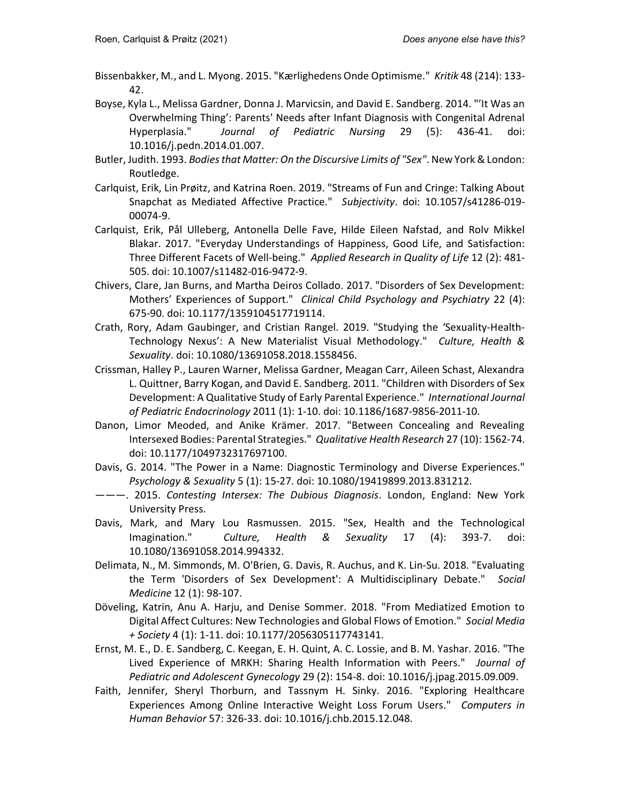- Bissenbakker, M., and L. Myong. 2015. "Kærlighedens Onde Optimisme." Kritik 48 (214): 133- 42.
- Boyse, Kyla L., Melissa Gardner, Donna J. Marvicsin, and David E. Sandberg. 2014. "'It Was an Overwhelming Thing': Parents' Needs after Infant Diagnosis with Congenital Adrenal Hyperplasia." Journal of Pediatric Nursing 29 (5): 436-41. doi: 10.1016/j.pedn.2014.01.007.
- Butler, Judith. 1993. Bodies that Matter: On the Discursive Limits of "Sex". New York & London: Routledge.
- Carlquist, Erik, Lin Prøitz, and Katrina Roen. 2019. "Streams of Fun and Cringe: Talking About Snapchat as Mediated Affective Practice." Subjectivity. doi: 10.1057/s41286-019- 00074-9.
- Carlquist, Erik, Pål Ulleberg, Antonella Delle Fave, Hilde Eileen Nafstad, and Rolv Mikkel Blakar. 2017. "Everyday Understandings of Happiness, Good Life, and Satisfaction: Three Different Facets of Well-being." Applied Research in Quality of Life 12 (2): 481- 505. doi: 10.1007/s11482-016-9472-9.
- Chivers, Clare, Jan Burns, and Martha Deiros Collado. 2017. "Disorders of Sex Development: Mothers' Experiences of Support." Clinical Child Psychology and Psychiatry 22 (4): 675-90. doi: 10.1177/1359104517719114.
- Crath, Rory, Adam Gaubinger, and Cristian Rangel. 2019. "Studying the 'Sexuality-Health-Technology Nexus': A New Materialist Visual Methodology." Culture, Health & Sexuality. doi: 10.1080/13691058.2018.1558456.
- Crissman, Halley P., Lauren Warner, Melissa Gardner, Meagan Carr, Aileen Schast, Alexandra L. Quittner, Barry Kogan, and David E. Sandberg. 2011. "Children with Disorders of Sex Development: A Qualitative Study of Early Parental Experience." International Journal of Pediatric Endocrinology 2011 (1): 1-10. doi: 10.1186/1687-9856-2011-10.
- Danon, Limor Meoded, and Anike Krämer. 2017. "Between Concealing and Revealing Intersexed Bodies: Parental Strategies." Qualitative Health Research 27 (10): 1562-74. doi: 10.1177/1049732317697100.
- Davis, G. 2014. "The Power in a Name: Diagnostic Terminology and Diverse Experiences." Psychology & Sexuality 5 (1): 15-27. doi: 10.1080/19419899.2013.831212.
- ———. 2015. Contesting Intersex: The Dubious Diagnosis. London, England: New York University Press.
- Davis, Mark, and Mary Lou Rasmussen. 2015. "Sex, Health and the Technological Imagination." Culture, Health & Sexuality 17 (4): 393-7. doi: 10.1080/13691058.2014.994332.
- Delimata, N., M. Simmonds, M. O'Brien, G. Davis, R. Auchus, and K. Lin-Su. 2018. "Evaluating the Term 'Disorders of Sex Development': A Multidisciplinary Debate." Social Medicine 12 (1): 98-107.
- Döveling, Katrin, Anu A. Harju, and Denise Sommer. 2018. "From Mediatized Emotion to Digital Affect Cultures: New Technologies and Global Flows of Emotion." Social Media + Society 4 (1): 1-11. doi: 10.1177/2056305117743141.
- Ernst, M. E., D. E. Sandberg, C. Keegan, E. H. Quint, A. C. Lossie, and B. M. Yashar. 2016. "The Lived Experience of MRKH: Sharing Health Information with Peers." Journal of Pediatric and Adolescent Gynecology 29 (2): 154-8. doi: 10.1016/j.jpag.2015.09.009.
- Faith, Jennifer, Sheryl Thorburn, and Tassnym H. Sinky. 2016. "Exploring Healthcare Experiences Among Online Interactive Weight Loss Forum Users." Computers in Human Behavior 57: 326-33. doi: 10.1016/j.chb.2015.12.048.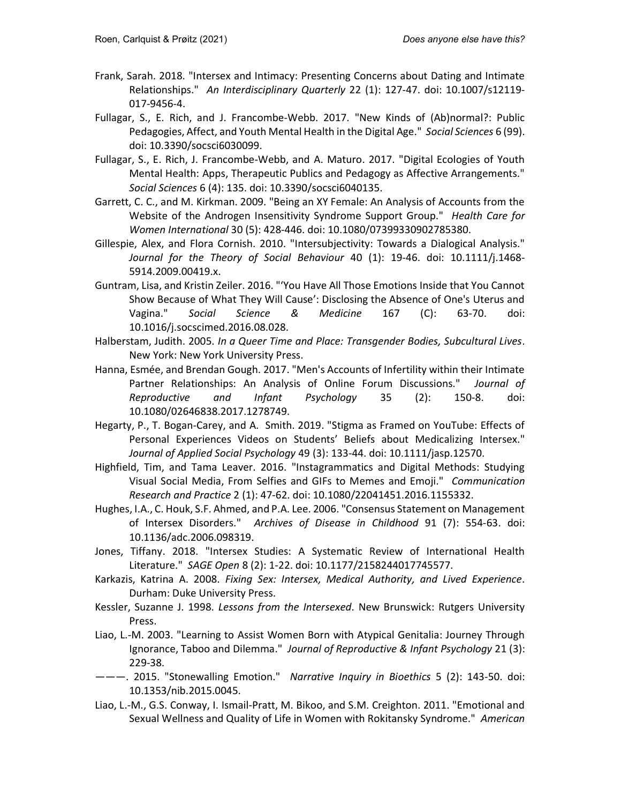- Frank, Sarah. 2018. "Intersex and Intimacy: Presenting Concerns about Dating and Intimate Relationships." An Interdisciplinary Quarterly 22 (1): 127-47. doi: 10.1007/s12119- 017-9456-4.
- Fullagar, S., E. Rich, and J. Francombe-Webb. 2017. "New Kinds of (Ab)normal?: Public Pedagogies, Affect, and Youth Mental Health in the Digital Age." Social Sciences 6 (99). doi: 10.3390/socsci6030099.
- Fullagar, S., E. Rich, J. Francombe-Webb, and A. Maturo. 2017. "Digital Ecologies of Youth Mental Health: Apps, Therapeutic Publics and Pedagogy as Affective Arrangements." Social Sciences 6 (4): 135. doi: 10.3390/socsci6040135.
- Garrett, C. C., and M. Kirkman. 2009. "Being an XY Female: An Analysis of Accounts from the Website of the Androgen Insensitivity Syndrome Support Group." Health Care for Women International 30 (5): 428-446. doi: 10.1080/07399330902785380.
- Gillespie, Alex, and Flora Cornish. 2010. "Intersubjectivity: Towards a Dialogical Analysis." Journal for the Theory of Social Behaviour 40 (1): 19-46. doi: 10.1111/j.1468- 5914.2009.00419.x.
- Guntram, Lisa, and Kristin Zeiler. 2016. "'You Have All Those Emotions Inside that You Cannot Show Because of What They Will Cause': Disclosing the Absence of One's Uterus and Vagina." Social Science & Medicine 167 (C): 63-70. doi: 10.1016/j.socscimed.2016.08.028.
- Halberstam, Judith. 2005. In a Queer Time and Place: Transgender Bodies, Subcultural Lives. New York: New York University Press.
- Hanna, Esmée, and Brendan Gough. 2017. "Men's Accounts of Infertility within their Intimate Partner Relationships: An Analysis of Online Forum Discussions." Journal of Reproductive and Infant Psychology 35 (2): 150-8. doi: 10.1080/02646838.2017.1278749.
- Hegarty, P., T. Bogan-Carey, and A. Smith. 2019. "Stigma as Framed on YouTube: Effects of Personal Experiences Videos on Students' Beliefs about Medicalizing Intersex." Journal of Applied Social Psychology 49 (3): 133-44. doi: 10.1111/jasp.12570.
- Highfield, Tim, and Tama Leaver. 2016. "Instagrammatics and Digital Methods: Studying Visual Social Media, From Selfies and GIFs to Memes and Emoji." Communication Research and Practice 2 (1): 47-62. doi: 10.1080/22041451.2016.1155332.
- Hughes, I.A., C. Houk, S.F. Ahmed, and P.A. Lee. 2006. "Consensus Statement on Management of Intersex Disorders." Archives of Disease in Childhood 91 (7): 554-63. doi: 10.1136/adc.2006.098319.
- Jones, Tiffany. 2018. "Intersex Studies: A Systematic Review of International Health Literature." SAGE Open 8 (2): 1-22. doi: 10.1177/2158244017745577.
- Karkazis, Katrina A. 2008. Fixing Sex: Intersex, Medical Authority, and Lived Experience. Durham: Duke University Press.
- Kessler, Suzanne J. 1998. Lessons from the Intersexed. New Brunswick: Rutgers University Press.
- Liao, L.-M. 2003. "Learning to Assist Women Born with Atypical Genitalia: Journey Through Ignorance, Taboo and Dilemma." Journal of Reproductive & Infant Psychology 21 (3): 229-38.
- ———. 2015. "Stonewalling Emotion." Narrative Inquiry in Bioethics 5 (2): 143-50. doi: 10.1353/nib.2015.0045.
- Liao, L.-M., G.S. Conway, I. Ismail-Pratt, M. Bikoo, and S.M. Creighton. 2011. "Emotional and Sexual Wellness and Quality of Life in Women with Rokitansky Syndrome." American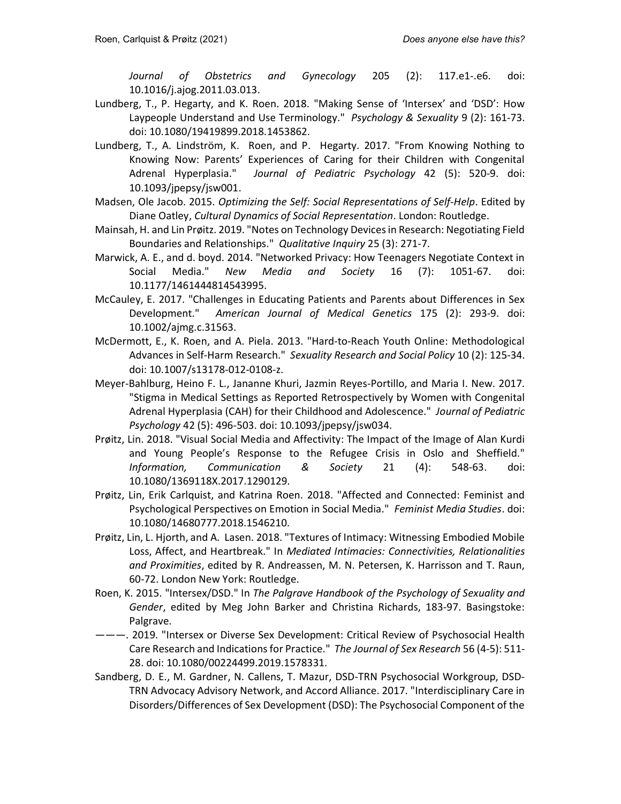Journal of Obstetrics and Gynecology 205 (2): 117.e1-.e6. doi: 10.1016/j.ajog.2011.03.013.

- Lundberg, T., P. Hegarty, and K. Roen. 2018. "Making Sense of 'Intersex' and 'DSD': How Laypeople Understand and Use Terminology." Psychology & Sexuality 9 (2): 161-73. doi: 10.1080/19419899.2018.1453862.
- Lundberg, T., A. Lindström, K. Roen, and P. Hegarty. 2017. "From Knowing Nothing to Knowing Now: Parents' Experiences of Caring for their Children with Congenital Adrenal Hyperplasia." Journal of Pediatric Psychology 42 (5): 520-9. doi: 10.1093/jpepsy/jsw001.
- Madsen, Ole Jacob. 2015. Optimizing the Self: Social Representations of Self-Help. Edited by Diane Oatley, Cultural Dynamics of Social Representation. London: Routledge.
- Mainsah, H. and Lin Prøitz. 2019. "Notes on Technology Devices in Research: Negotiating Field Boundaries and Relationships." Qualitative Inquiry 25 (3): 271-7.
- Marwick, A. E., and d. boyd. 2014. "Networked Privacy: How Teenagers Negotiate Context in Social Media." New Media and Society 16 (7): 1051-67. doi: 10.1177/1461444814543995.
- McCauley, E. 2017. "Challenges in Educating Patients and Parents about Differences in Sex Development." American Journal of Medical Genetics 175 (2): 293-9. doi: 10.1002/ajmg.c.31563.
- McDermott, E., K. Roen, and A. Piela. 2013. "Hard-to-Reach Youth Online: Methodological Advances in Self-Harm Research." Sexuality Research and Social Policy 10 (2): 125-34. doi: 10.1007/s13178-012-0108-z.
- Meyer-Bahlburg, Heino F. L., Jananne Khuri, Jazmin Reyes-Portillo, and Maria I. New. 2017. "Stigma in Medical Settings as Reported Retrospectively by Women with Congenital Adrenal Hyperplasia (CAH) for their Childhood and Adolescence." Journal of Pediatric Psychology 42 (5): 496-503. doi: 10.1093/jpepsy/jsw034.
- Prøitz, Lin. 2018. "Visual Social Media and Affectivity: The Impact of the Image of Alan Kurdi and Young People's Response to the Refugee Crisis in Oslo and Sheffield." Information, Communication & Society 21 (4): 548-63. doi: 10.1080/1369118X.2017.1290129.
- Prøitz, Lin, Erik Carlquist, and Katrina Roen. 2018. "Affected and Connected: Feminist and Psychological Perspectives on Emotion in Social Media." Feminist Media Studies. doi: 10.1080/14680777.2018.1546210.
- Prøitz, Lin, L. Hjorth, and A. Lasen. 2018. "Textures of Intimacy: Witnessing Embodied Mobile Loss, Affect, and Heartbreak." In Mediated Intimacies: Connectivities, Relationalities and Proximities, edited by R. Andreassen, M. N. Petersen, K. Harrisson and T. Raun, 60-72. London New York: Routledge.
- Roen, K. 2015. "Intersex/DSD." In The Palgrave Handbook of the Psychology of Sexuality and Gender, edited by Meg John Barker and Christina Richards, 183-97. Basingstoke: Palgrave.
- ———. 2019. "Intersex or Diverse Sex Development: Critical Review of Psychosocial Health Care Research and Indications for Practice." The Journal of Sex Research 56 (4-5): 511- 28. doi: 10.1080/00224499.2019.1578331.
- Sandberg, D. E., M. Gardner, N. Callens, T. Mazur, DSD-TRN Psychosocial Workgroup, DSD-TRN Advocacy Advisory Network, and Accord Alliance. 2017. "Interdisciplinary Care in Disorders/Differences of Sex Development (DSD): The Psychosocial Component of the